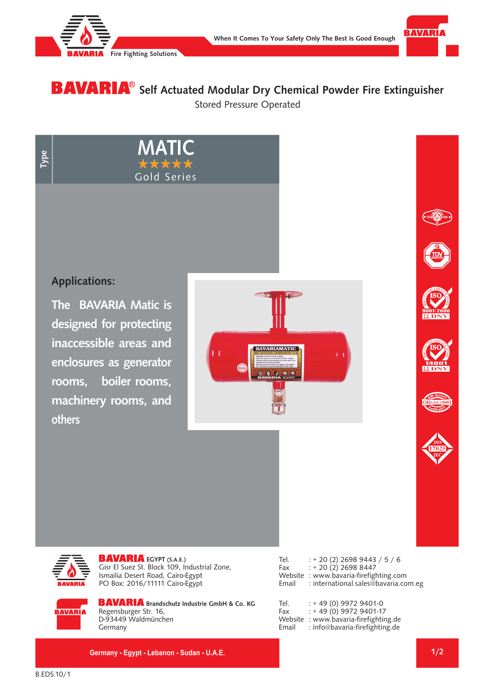



Stored Pressure Operated **BAVARIA**<sup>®</sup> Self Actuated Modular Dry Chemical Powder Fire Extinguisher

**Type**

## **Applications:**

**The BAVARIA Matic is designed for protecting inaccessible areas and enclosures as generator rooms, boiler rooms, machinery rooms, and others** 













**BAVARIA** EGYPT (S.A.E.) Gisr El Suez St. Block 109, Industrial Zone, Ismailia Desert Road, Cairo-Egypt PO Box: 2016/11111 Cairo-Egypt

**BAVARIA**<br>BAVARIA Gold Series<br>BAVARIA

**MATIC**

Tel. : + 20 (2) 2698 9443 / 5 / 6 Fax : + 20 (2) 2698 8447 Website : www.bavaria-firefighting.com<br>Email : international.sales@bavaria.co : international.sales@bavaria.com.eg

**BAVARIA** 

**BAVARIA** Brandschutz Industrie GmbH & Co. KG Regensburger Str. 16, D-93449 Waldmünchen Germany

| Tel.  | $: +49(0)$ 9972 9401-0                |
|-------|---------------------------------------|
| Fax   | $: +49(0)$ 9972 9401-17               |
|       | Website : www.bavaria-firefighting.de |
| Email | : info@bavaria-firefighting.de        |

**Germany - Egypt - Lebanon - Sudan - U.A.E.**